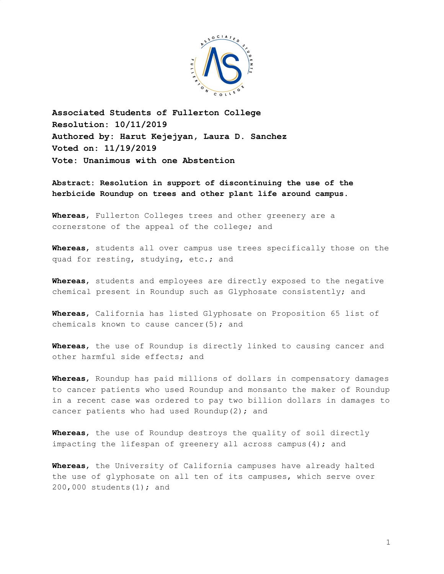

**Associated Students of Fullerton College Resolution: 10/11/2019 Authored by: Harut Kejejyan, Laura D. Sanchez Voted on: 11/19/2019 Vote: Unanimous with one Abstention**

**Abstract: Resolution in support of discontinuing the use of the herbicide Roundup on trees and other plant life around campus.**

**Whereas**, Fullerton Colleges trees and other greenery are a cornerstone of the appeal of the college; and

**Whereas**, students all over campus use trees specifically those on the quad for resting, studying, etc.; and

**Whereas**, students and employees are directly exposed to the negative chemical present in Roundup such as Glyphosate consistently; and

**Whereas**, California has listed Glyphosate on Proposition 65 list of chemicals known to cause cancer $(5)$ ; and

**Whereas**, the use of Roundup is directly linked to causing cancer and other harmful side effects; and

**Whereas**, Roundup has paid millions of dollars in compensatory damages to cancer patients who used Roundup and monsanto the maker of Roundup in a recent case was ordered to pay two billion dollars in damages to cancer patients who had used Roundup(2); and

**Whereas**, the use of Roundup destroys the quality of soil directly impacting the lifespan of greenery all across campus(4); and

**Whereas**, the University of California campuses have already halted the use of glyphosate on all ten of its campuses, which serve over 200,000 students(1); and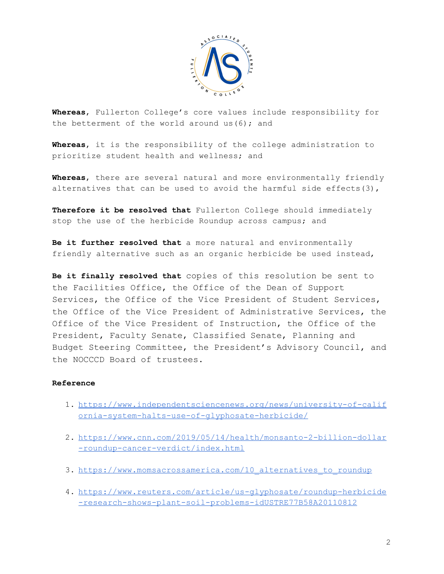

**Whereas**, Fullerton College's core values include responsibility for the betterment of the world around us  $(6)$ ; and

**Whereas**, it is the responsibility of the college administration to prioritize student health and wellness; and

**Whereas**, there are several natural and more environmentally friendly alternatives that can be used to avoid the harmful side effects(3),

**Therefore it be resolved that** Fullerton College should immediately stop the use of the herbicide Roundup across campus; and

**Be it further resolved that** a more natural and environmentally friendly alternative such as an organic herbicide be used instead,

**Be it finally resolved that** copies of this resolution be sent to the Facilities Office, the Office of the Dean of Support Services, the Office of the Vice President of Student Services, the Office of the Vice President of Administrative Services, the Office of the Vice President of Instruction, the Office of the President, Faculty Senate, Classified Senate, Planning and Budget Steering Committee, the President's Advisory Council, and the NOCCCD Board of trustees.

## **Reference**

- 1. [https://www.independentsciencenews.org/news/university-of-calif](https://www.independentsciencenews.org/news/university-of-california-system-halts-use-of-glyphosate-herbicide/) [ornia-system-halts-use-of-glyphosate-herbicide/](https://www.independentsciencenews.org/news/university-of-california-system-halts-use-of-glyphosate-herbicide/)
- 2. [https://www.cnn.com/2019/05/14/health/monsanto-2-billion-dollar](https://www.cnn.com/2019/05/14/health/monsanto-2-billion-dollar-roundup-cancer-verdict/index.html) [-roundup-cancer-verdict/index.html](https://www.cnn.com/2019/05/14/health/monsanto-2-billion-dollar-roundup-cancer-verdict/index.html)
- 3. https://www.momsacrossamerica.com/10 alternatives to roundup
- 4. [https://www.reuters.com/article/us-glyphosate/roundup-herbicide](https://www.reuters.com/article/us-glyphosate/roundup-herbicide-research-shows-plant-soil-problems-idUSTRE77B58A20110812) [-research-shows-plant-soil-problems-idUSTRE77B58A20110812](https://www.reuters.com/article/us-glyphosate/roundup-herbicide-research-shows-plant-soil-problems-idUSTRE77B58A20110812)